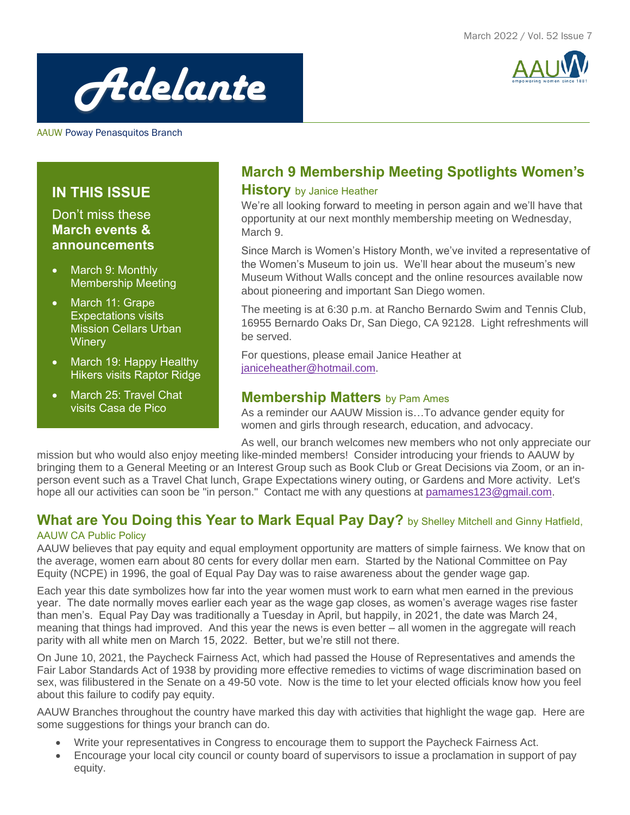



#### AAUW Poway Penasquitos Branch

# **IN THIS ISSUE**

# Don't miss these **March events & announcements**

- March 9: Monthly Membership Meeting
- March 11: Grape Expectations visits Mission Cellars Urban **Winery**
- March 19: Happy Healthy Hikers visits Raptor Ridge
- March 25: Travel Chat visits Casa de Pico

# **March 9 Membership Meeting Spotlights Women's**

## **History** by Janice Heather

We're all looking forward to meeting in person again and we'll have that opportunity at our next monthly membership meeting on Wednesday, March 9.

Since March is Women's History Month, we've invited a representative of the Women's Museum to join us. We'll hear about the museum's new Museum Without Walls concept and the online resources available now about pioneering and important San Diego women.

The meeting is at 6:30 p.m. at Rancho Bernardo Swim and Tennis Club, 16955 Bernardo Oaks Dr, San Diego, CA 92128. Light refreshments will be served.

For questions, please email Janice Heather at [janiceheather@hotmail.com.](mailto:janiceheather@hotmail.com)

# **Membership Matters** by Pam Ames

As a reminder our AAUW Mission is…To advance gender equity for women and girls through research, education, and advocacy.

As well, our branch welcomes new members who not only appreciate our

mission but who would also enjoy meeting like-minded members! Consider introducing your friends to AAUW by bringing them to a General Meeting or an Interest Group such as Book Club or Great Decisions via Zoom, or an inperson event such as a Travel Chat lunch, Grape Expectations winery outing, or Gardens and More activity. Let's hope all our activities can soon be "in person." Contact me with any questions at [pamames123@gmail.com.](mailto:pamames123@gmail.com)

# **What are You Doing this Year to Mark Equal Pay Day?** by Shelley Mitchell and Ginny Hatfield,

### AAUW CA Public Policy

AAUW believes that pay equity and equal employment opportunity are matters of simple fairness. We know that on the average, women earn about 80 cents for every dollar men earn. Started by the National Committee on Pay Equity (NCPE) in 1996, the goal of Equal Pay Day was to raise awareness about the gender wage gap.

Each year this date symbolizes how far into the year women must work to earn what men earned in the previous year. The date normally moves earlier each year as the wage gap closes, as women's average wages rise faster than men's. Equal Pay Day was traditionally a Tuesday in April, but happily, in 2021, the date was March 24, meaning that things had improved. And this year the news is even better – all women in the aggregate will reach parity with all white men on March 15, 2022. Better, but we're still not there.

On June 10, 2021, the Paycheck Fairness Act, which had passed the House of Representatives and amends the Fair Labor Standards Act of 1938 by providing more effective remedies to victims of wage discrimination based on sex, was filibustered in the Senate on a 49-50 vote. Now is the time to let your elected officials know how you feel about this failure to codify pay equity.

AAUW Branches throughout the country have marked this day with activities that highlight the wage gap. Here are some suggestions for things your branch can do.

- Write your representatives in Congress to encourage them to support the Paycheck Fairness Act.
- Encourage your local city council or county board of supervisors to issue a proclamation in support of pay equity.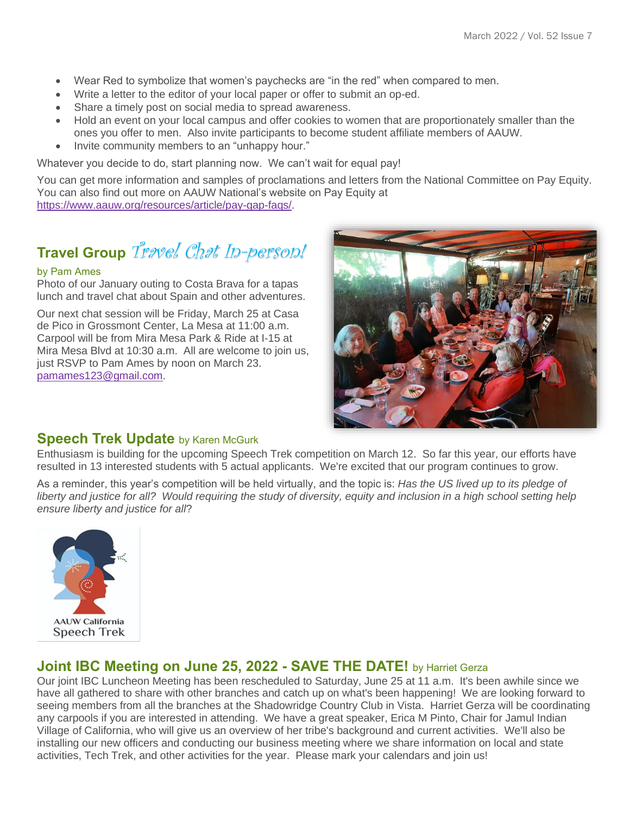- Wear Red to symbolize that women's paychecks are "in the red" when compared to men.
- Write a letter to the editor of your local paper or offer to submit an op-ed.
- Share a timely post on social media to spread awareness.
- Hold an event on your local campus and offer cookies to women that are proportionately smaller than the ones you offer to men. Also invite participants to become student affiliate members of AAUW.
- Invite community members to an "unhappy hour."

Whatever you decide to do, start planning now. We can't wait for equal pay!

You can get more information and samples of proclamations and letters from the National Committee on Pay Equity. You can also find out more on AAUW National's website on Pay Equity at [https://www.aauw.org/resources/article/pay-gap-faqs/.](https://www.aauw.org/resources/article/pay-gap-faqs/)

# **Travel Group** Travel Chat In-person!

#### by Pam Ames

Photo of our January outing to Costa Brava for a tapas lunch and travel chat about Spain and other adventures.

Our next chat session will be Friday, March 25 at Casa de Pico in Grossmont Center, La Mesa at 11:00 a.m. Carpool will be from Mira Mesa Park & Ride at I-15 at Mira Mesa Blvd at 10:30 a.m. All are welcome to join us, just RSVP to Pam Ames by noon on March 23. [pamames123@gmail.com.](mailto:pamames123@gmail.com)



## **Speech Trek Update** by Karen McGurk

Enthusiasm is building for the upcoming Speech Trek competition on March 12. So far this year, our efforts have resulted in 13 interested students with 5 actual applicants. We're excited that our program continues to grow.

As a reminder, this year's competition will be held virtually, and the topic is: *Has the US lived up to its pledge of liberty and justice for all? Would requiring the study of diversity, equity and inclusion in a high school setting help ensure liberty and justice for all*?



# **Joint IBC Meeting on June 25, 2022 - SAVE THE DATE!** by Harriet Gerza

Our joint IBC Luncheon Meeting has been rescheduled to Saturday, June 25 at 11 a.m. It's been awhile since we have all gathered to share with other branches and catch up on what's been happening! We are looking forward to seeing members from all the branches at the Shadowridge Country Club in Vista. Harriet Gerza will be coordinating any carpools if you are interested in attending. We have a great speaker, Erica M Pinto, Chair for Jamul Indian Village of California, who will give us an overview of her tribe's background and current activities. We'll also be installing our new officers and conducting our business meeting where we share information on local and state activities, Tech Trek, and other activities for the year. Please mark your calendars and join us!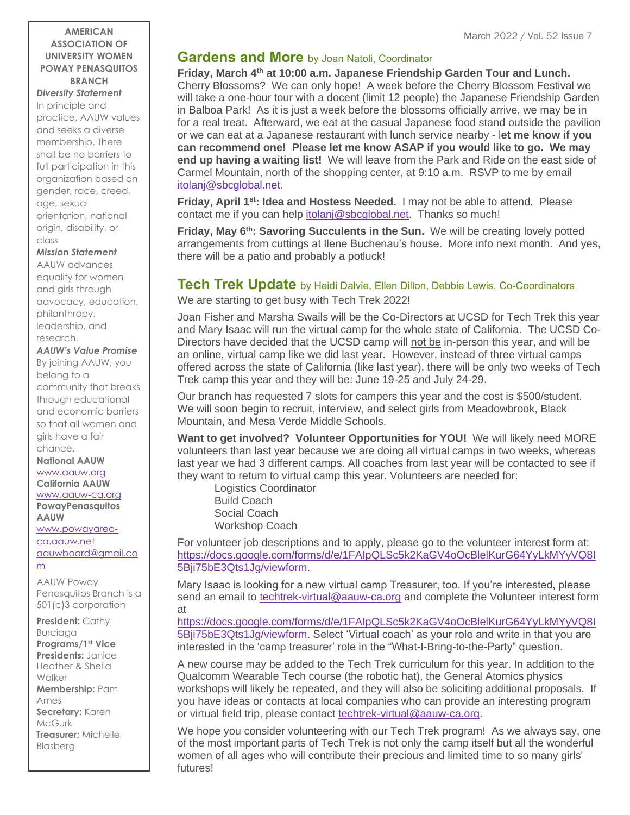#### **AMERICAN ASSOCIATION OF UNIVERSITY WOMEN POWAY PENASQUITOS BRANCH**

*Diversity Statement* In principle and practice, AAUW values and seeks a diverse membership. There shall be no barriers to full participation in this organization based on gender, race, creed, age, sexual orientation, national origin, disability, or class

#### *Mission Statement*

AAUW advances equality for women and girls through advocacy, education, philanthropy, leadership, and research.

#### *AAUW's Value Promise*  By joining AAUW, you

belong to a community that breaks through educational and economic barriers so that all women and girls have a fair chance.

**National AAUW** [www.aauw.org](http://www.aauw.org/) **California AAUW** [www.aauw-ca.org](http://www.aauw-ca.org/)

**PowayPenasquitos AAUW** [www.powayarea](http://www.powayarea-ca.aauw.net/)[ca.aauw.net](http://www.powayarea-ca.aauw.net/)

[aauwboard@gmail.co](mailto:aauwboard@gmail.com) [m](mailto:aauwboard@gmail.com)

AAUW Poway Penasquitos Branch is a 501(c)3 corporation

**President:** Cathy Burciaga **Programs/1st Vice Presidents:** Janice Heather & Sheila **Walker Membership:** Pam Ames **Secretary:** Karen **McGurk Treasurer:** Michelle Blasberg

### **Gardens and More** by Joan Natoli, Coordinator

**Friday, March 4th at 10:00 a.m. Japanese Friendship Garden Tour and Lunch.** Cherry Blossoms? We can only hope! A week before the Cherry Blossom Festival we will take a one-hour tour with a docent (limit 12 people) the Japanese Friendship Garden in Balboa Park! As it is just a week before the blossoms officially arrive, we may be in for a real treat. Afterward, we eat at the casual Japanese food stand outside the pavilion or we can eat at a Japanese restaurant with lunch service nearby - l**et me know if you can recommend one! Please let me know ASAP if you would like to go. We may end up having a waiting list!** We will leave from the Park and Ride on the east side of Carmel Mountain, north of the shopping center, at 9:10 a.m. RSVP to me by email [itolanj@sbcglobal.net.](mailto:itolanj@sbcglobal.net)

**Friday, April 1st: Idea and Hostess Needed.** I may not be able to attend. Please contact me if you can help [itolanj@sbcglobal.net.](mailto:itolanj@sbcglobal.net) Thanks so much!

**Friday, May 6th: Savoring Succulents in the Sun.** We will be creating lovely potted arrangements from cuttings at Ilene Buchenau's house. More info next month. And yes, there will be a patio and probably a potluck!

## **Tech Trek Update** by Heidi Dalvie, Ellen Dillon, Debbie Lewis, Co-Coordinators

We are starting to get busy with Tech Trek 2022!

Joan Fisher and Marsha Swails will be the Co-Directors at UCSD for Tech Trek this year and Mary Isaac will run the virtual camp for the whole state of California. The UCSD Co-Directors have decided that the UCSD camp will not be in-person this year, and will be an online, virtual camp like we did last year. However, instead of three virtual camps offered across the state of California (like last year), there will be only two weeks of Tech Trek camp this year and they will be: June 19-25 and July 24-29.

Our branch has requested 7 slots for campers this year and the cost is \$500/student. We will soon begin to recruit, interview, and select girls from Meadowbrook, Black Mountain, and Mesa Verde Middle Schools.

**Want to get involved? Volunteer Opportunities for YOU!** We will likely need MORE volunteers than last year because we are doing all virtual camps in two weeks, whereas last year we had 3 different camps. All coaches from last year will be contacted to see if they want to return to virtual camp this year. Volunteers are needed for:

Logistics Coordinator Build Coach Social Coach Workshop Coach

For volunteer job descriptions and to apply, please go to the volunteer interest form at: [https://docs.google.com/forms/d/e/1FAIpQLSc5k2KaGV4oOcBlelKurG64YyLkMYyVQ8I](https://docs.google.com/forms/d/e/1FAIpQLSc5k2KaGV4oOcBlelKurG64YyLkMYyVQ8I5Bji75bE3Qts1Jg/viewform) [5Bji75bE3Qts1Jg/viewform.](https://docs.google.com/forms/d/e/1FAIpQLSc5k2KaGV4oOcBlelKurG64YyLkMYyVQ8I5Bji75bE3Qts1Jg/viewform)

Mary Isaac is looking for a new virtual camp Treasurer, too. If you're interested, please send an email to [techtrek-virtual@aauw-ca.org](mailto:techtrek-virtual@aauw-ca.org) and complete the Volunteer interest form at

[https://docs.google.com/forms/d/e/1FAIpQLSc5k2KaGV4oOcBlelKurG64YyLkMYyVQ8I](https://docs.google.com/forms/d/e/1FAIpQLSc5k2KaGV4oOcBlelKurG64YyLkMYyVQ8I5Bji75bE3Qts1Jg/viewform) [5Bji75bE3Qts1Jg/viewform.](https://docs.google.com/forms/d/e/1FAIpQLSc5k2KaGV4oOcBlelKurG64YyLkMYyVQ8I5Bji75bE3Qts1Jg/viewform) Select 'Virtual coach' as your role and write in that you are interested in the 'camp treasurer' role in the "What-I-Bring-to-the-Party" question.

A new course may be added to the Tech Trek curriculum for this year. In addition to the Qualcomm Wearable Tech course (the robotic hat), the General Atomics physics workshops will likely be repeated, and they will also be soliciting additional proposals. If you have ideas or contacts at local companies who can provide an interesting program or virtual field trip, please contact [techtrek-virtual@aauw-ca.org.](mailto:techtrek-virtual@aauw-ca.org)

We hope you consider volunteering with our Tech Trek program! As we always say, one of the most important parts of Tech Trek is not only the camp itself but all the wonderful women of all ages who will contribute their precious and limited time to so many girls' futures!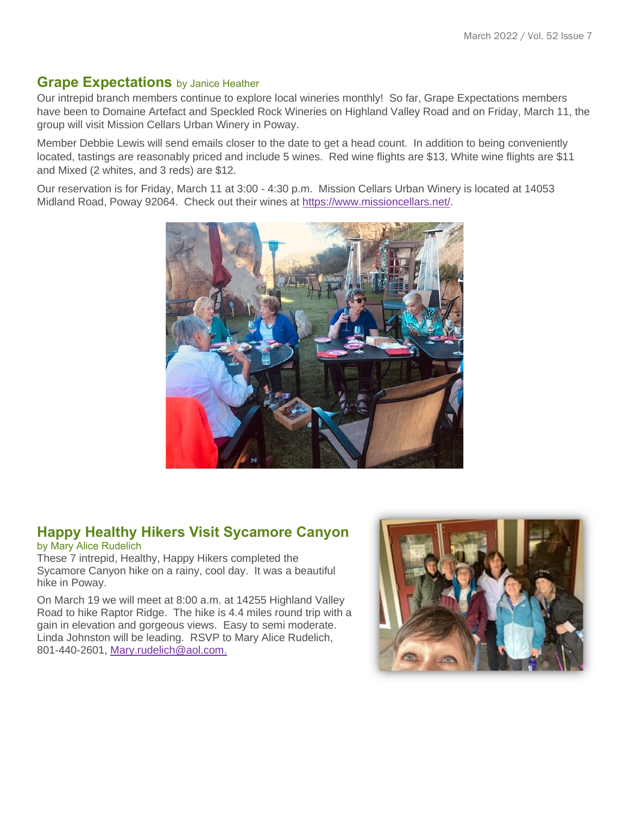# **Grape Expectations** by Janice Heather

Our intrepid branch members continue to explore local wineries monthly! So far, Grape Expectations members have been to Domaine Artefact and Speckled Rock Wineries on Highland Valley Road and on Friday, March 11, the group will visit Mission Cellars Urban Winery in Poway.

Member Debbie Lewis will send emails closer to the date to get a head count. In addition to being conveniently located, tastings are reasonably priced and include 5 wines. Red wine flights are \$13, White wine flights are \$11 and Mixed (2 whites, and 3 reds) are \$12.

Our reservation is for Friday, March 11 at 3:00 - 4:30 p.m. Mission Cellars Urban Winery is located at 14053 Midland Road, Poway 92064. Check out their wines at [https://www.missioncellars.net/.](https://www.missioncellars.net/)



#### **Happy Healthy Hikers Visit Sycamore Canyon** by Mary Alice Rudelich

These 7 intrepid, Healthy, Happy Hikers completed the Sycamore Canyon hike on a rainy, cool day. It was a beautiful hike in Poway.

On March 19 we will meet at 8:00 a.m. at 14255 Highland Valley Road to hike Raptor Ridge. The hike is 4.4 miles round trip with a gain in elevation and gorgeous views. Easy to semi moderate. Linda Johnston will be leading. RSVP to Mary Alice Rudelich, 801-440-2601, [Mary.rudelich@aol.com.](mailto:Mary.rudelich@aol.com)

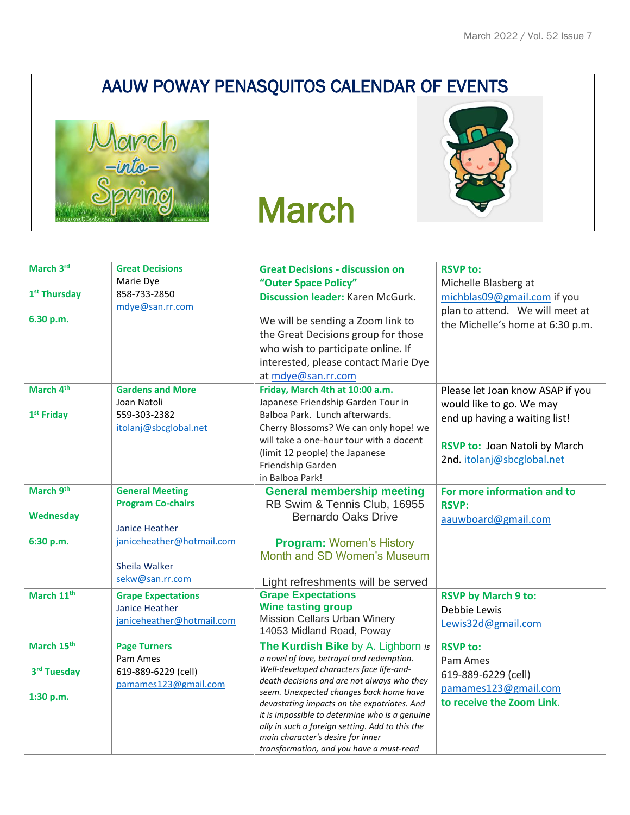# AAUW POWAY PENASQUITOS CALENDAR OF EVENTS







| March 3rd                | <b>Great Decisions</b>                             | <b>Great Decisions - discussion on</b>                                                        | <b>RSVP to:</b>                                           |
|--------------------------|----------------------------------------------------|-----------------------------------------------------------------------------------------------|-----------------------------------------------------------|
| 1 <sup>st</sup> Thursday | Marie Dye<br>858-733-2850                          | "Outer Space Policy"<br><b>Discussion leader: Karen McGurk.</b>                               | Michelle Blasberg at<br>michblas09@gmail.com if you       |
|                          | mdye@san.rr.com                                    |                                                                                               | plan to attend. We will meet at                           |
| 6.30 p.m.                |                                                    | We will be sending a Zoom link to<br>the Great Decisions group for those                      | the Michelle's home at 6:30 p.m.                          |
|                          |                                                    | who wish to participate online. If                                                            |                                                           |
|                          |                                                    | interested, please contact Marie Dye                                                          |                                                           |
|                          |                                                    | at mdye@san.rr.com                                                                            |                                                           |
| March 4th                | <b>Gardens and More</b><br>Joan Natoli             | Friday, March 4th at 10:00 a.m.<br>Japanese Friendship Garden Tour in                         | Please let Joan know ASAP if you                          |
| 1 <sup>st</sup> Friday   | 559-303-2382                                       | Balboa Park. Lunch afterwards.                                                                | would like to go. We may<br>end up having a waiting list! |
|                          | itolanj@sbcglobal.net                              | Cherry Blossoms? We can only hope! we                                                         |                                                           |
|                          |                                                    | will take a one-hour tour with a docent<br>(limit 12 people) the Japanese                     | RSVP to: Joan Natoli by March                             |
|                          |                                                    | Friendship Garden                                                                             | 2nd. itolanj@sbcglobal.net                                |
|                          |                                                    | in Balboa Park!                                                                               |                                                           |
| March 9th                | <b>General Meeting</b><br><b>Program Co-chairs</b> | <b>General membership meeting</b><br>RB Swim & Tennis Club, 16955                             | For more information and to<br><b>RSVP:</b>               |
| Wednesday                |                                                    | <b>Bernardo Oaks Drive</b>                                                                    | aauwboard@gmail.com                                       |
|                          | <b>Janice Heather</b>                              |                                                                                               |                                                           |
| 6:30 p.m.                | janiceheather@hotmail.com                          | <b>Program: Women's History</b><br>Month and SD Women's Museum                                |                                                           |
|                          | Sheila Walker                                      |                                                                                               |                                                           |
|                          | sekw@san.rr.com                                    | Light refreshments will be served                                                             |                                                           |
| March 11 <sup>th</sup>   | <b>Grape Expectations</b>                          | <b>Grape Expectations</b>                                                                     | <b>RSVP by March 9 to:</b>                                |
|                          | Janice Heather<br>janiceheather@hotmail.com        | <b>Wine tasting group</b><br><b>Mission Cellars Urban Winery</b>                              | Debbie Lewis                                              |
|                          |                                                    | 14053 Midland Road, Poway                                                                     | Lewis32d@gmail.com                                        |
| March 15th               | <b>Page Turners</b>                                | The Kurdish Bike by A. Lighborn is                                                            | <b>RSVP to:</b>                                           |
| 3rd Tuesday              | Pam Ames<br>619-889-6229 (cell)                    | a novel of love, betrayal and redemption.<br>Well-developed characters face life-and-         | Pam Ames                                                  |
|                          | pamames123@gmail.com                               | death decisions and are not always who they                                                   | 619-889-6229 (cell)                                       |
| 1:30 p.m.                |                                                    | seem. Unexpected changes back home have                                                       | pamames123@gmail.com<br>to receive the Zoom Link.         |
|                          |                                                    | devastating impacts on the expatriates. And<br>it is impossible to determine who is a genuine |                                                           |
|                          |                                                    | ally in such a foreign setting. Add to this the                                               |                                                           |
|                          |                                                    | main character's desire for inner<br>transformation, and you have a must-read                 |                                                           |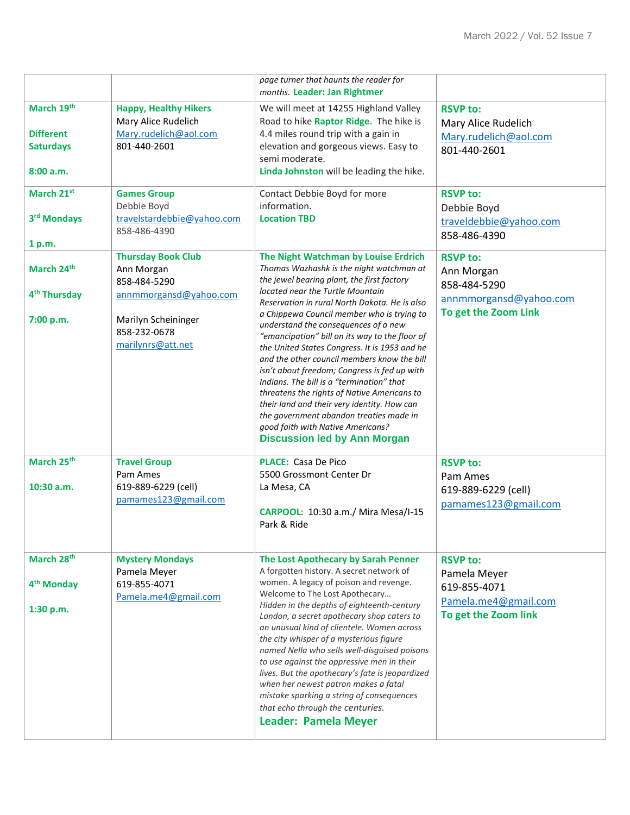|                                                                |                                                                                                                                               | page turner that haunts the reader for<br>months. Leader: Jan Rightmer                                                                                                                                                                                                                                                                                                                                                                                                                                                                                                                                                                                                                                                                                                        |                                                                                                 |
|----------------------------------------------------------------|-----------------------------------------------------------------------------------------------------------------------------------------------|-------------------------------------------------------------------------------------------------------------------------------------------------------------------------------------------------------------------------------------------------------------------------------------------------------------------------------------------------------------------------------------------------------------------------------------------------------------------------------------------------------------------------------------------------------------------------------------------------------------------------------------------------------------------------------------------------------------------------------------------------------------------------------|-------------------------------------------------------------------------------------------------|
| March 19th<br><b>Different</b><br><b>Saturdays</b><br>8:00a.m. | <b>Happy, Healthy Hikers</b><br>Mary Alice Rudelich<br>Mary.rudelich@aol.com<br>801-440-2601                                                  | We will meet at 14255 Highland Valley<br>Road to hike Raptor Ridge. The hike is<br>4.4 miles round trip with a gain in<br>elevation and gorgeous views. Easy to<br>semi moderate.<br>Linda Johnston will be leading the hike.                                                                                                                                                                                                                                                                                                                                                                                                                                                                                                                                                 | <b>RSVP to:</b><br>Mary Alice Rudelich<br>Mary.rudelich@aol.com<br>801-440-2601                 |
| March 21st<br>3rd Mondays<br>1 p.m.                            | <b>Games Group</b><br>Debbie Boyd<br>travelstardebbie@yahoo.com<br>858-486-4390                                                               | Contact Debbie Boyd for more<br>information.<br><b>Location TBD</b>                                                                                                                                                                                                                                                                                                                                                                                                                                                                                                                                                                                                                                                                                                           | <b>RSVP to:</b><br>Debbie Boyd<br>traveldebbie@yahoo.com<br>858-486-4390                        |
| March 24th<br>4 <sup>th</sup> Thursday<br>7:00 p.m.            | <b>Thursday Book Club</b><br>Ann Morgan<br>858-484-5290<br>annmmorgansd@yahoo.com<br>Marilyn Scheininger<br>858-232-0678<br>marilynrs@att.net | The Night Watchman by Louise Erdrich<br>Thomas Wazhashk is the night watchman at<br>the jewel bearing plant, the first factory<br>located near the Turtle Mountain<br>Reservation in rural North Dakota. He is also<br>a Chippewa Council member who is trying to<br>understand the consequences of a new<br>"emancipation" bill on its way to the floor of<br>the United States Congress. It is 1953 and he<br>and the other council members know the bill<br>isn't about freedom; Congress is fed up with<br>Indians. The bill is a "termination" that<br>threatens the rights of Native Americans to<br>their land and their very identity. How can<br>the government abandon treaties made in<br>good faith with Native Americans?<br><b>Discussion led by Ann Morgan</b> | <b>RSVP to:</b><br>Ann Morgan<br>858-484-5290<br>annmmorgansd@yahoo.com<br>To get the Zoom Link |
| March 25th<br>$10:30$ a.m.                                     | <b>Travel Group</b><br>Pam Ames<br>619-889-6229 (cell)<br>pamames123@gmail.com                                                                | <b>PLACE: Casa De Pico</b><br>5500 Grossmont Center Dr<br>La Mesa, CA<br>CARPOOL: 10:30 a.m./ Mira Mesa/I-15<br>Park & Ride                                                                                                                                                                                                                                                                                                                                                                                                                                                                                                                                                                                                                                                   | <b>RSVP to:</b><br>Pam Ames<br>619-889-6229 (cell)<br>pamames123@gmail.com                      |
| March 28th<br>4 <sup>th</sup> Monday<br>1:30 p.m.              | <b>Mystery Mondays</b><br>Pamela Meyer<br>619-855-4071<br>Pamela.me4@gmail.com                                                                | The Lost Apothecary by Sarah Penner<br>A forgotten history. A secret network of<br>women. A legacy of poison and revenge.<br>Welcome to The Lost Apothecary<br>Hidden in the depths of eighteenth-century<br>London, a secret apothecary shop caters to<br>an unusual kind of clientele. Women across<br>the city whisper of a mysterious figure<br>named Nella who sells well-disquised poisons<br>to use against the oppressive men in their<br>lives. But the apothecary's fate is jeopardized<br>when her newest patron makes a fatal<br>mistake sparking a string of consequences<br>that echo through the centuries.<br><b>Leader: Pamela Meyer</b>                                                                                                                     | <b>RSVP to:</b><br>Pamela Meyer<br>619-855-4071<br>Pamela.me4@gmail.com<br>To get the Zoom link |